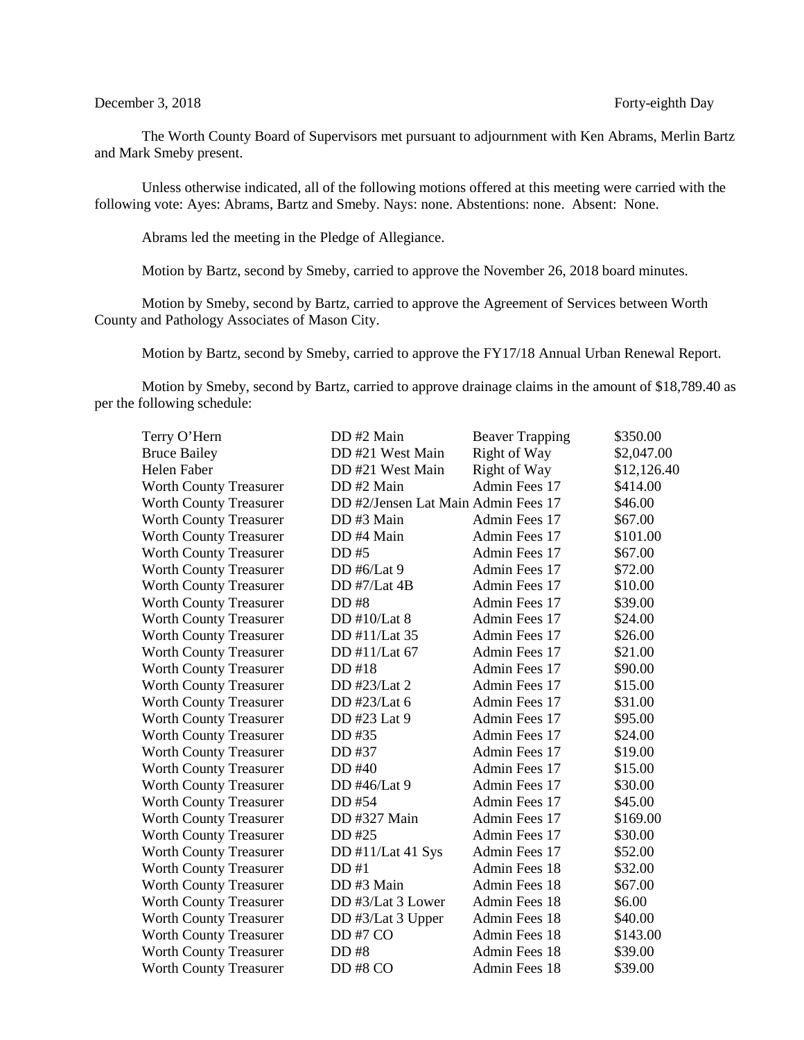#### December 3, 2018 Forty-eighth Day

The Worth County Board of Supervisors met pursuant to adjournment with Ken Abrams, Merlin Bartz and Mark Smeby present.

Unless otherwise indicated, all of the following motions offered at this meeting were carried with the following vote: Ayes: Abrams, Bartz and Smeby. Nays: none. Abstentions: none. Absent: None.

Abrams led the meeting in the Pledge of Allegiance.

Motion by Bartz, second by Smeby, carried to approve the November 26, 2018 board minutes.

Motion by Smeby, second by Bartz, carried to approve the Agreement of Services between Worth County and Pathology Associates of Mason City.

Motion by Bartz, second by Smeby, carried to approve the FY17/18 Annual Urban Renewal Report.

Motion by Smeby, second by Bartz, carried to approve drainage claims in the amount of \$18,789.40 as per the following schedule:

| Terry O'Hern                  | DD#2 Main                           | <b>Beaver Trapping</b> | \$350.00    |
|-------------------------------|-------------------------------------|------------------------|-------------|
| <b>Bruce Bailey</b>           | DD #21 West Main                    | Right of Way           | \$2,047.00  |
| Helen Faber                   | DD #21 West Main                    | Right of Way           | \$12,126.40 |
| Worth County Treasurer        | DD #2 Main                          | Admin Fees 17          | \$414.00    |
| <b>Worth County Treasurer</b> | DD #2/Jensen Lat Main Admin Fees 17 |                        | \$46.00     |
| <b>Worth County Treasurer</b> | DD #3 Main                          | Admin Fees 17          | \$67.00     |
| Worth County Treasurer        | DD #4 Main                          | Admin Fees 17          | \$101.00    |
| <b>Worth County Treasurer</b> | DD #5                               | Admin Fees 17          | \$67.00     |
| <b>Worth County Treasurer</b> | DD #6/Lat 9                         | Admin Fees 17          | \$72.00     |
| <b>Worth County Treasurer</b> | DD #7/Lat 4B                        | Admin Fees 17          | \$10.00     |
| <b>Worth County Treasurer</b> | DD #8                               | Admin Fees 17          | \$39.00     |
| <b>Worth County Treasurer</b> | DD #10/Lat 8                        | Admin Fees 17          | \$24.00     |
| <b>Worth County Treasurer</b> | DD #11/Lat 35                       | Admin Fees 17          | \$26.00     |
| <b>Worth County Treasurer</b> | DD #11/Lat 67                       | Admin Fees 17          | \$21.00     |
| <b>Worth County Treasurer</b> | DD #18                              | Admin Fees 17          | \$90.00     |
| <b>Worth County Treasurer</b> | DD #23/Lat 2                        | Admin Fees 17          | \$15.00     |
| <b>Worth County Treasurer</b> | DD #23/Lat 6                        | Admin Fees 17          | \$31.00     |
| <b>Worth County Treasurer</b> | DD #23 Lat 9                        | Admin Fees 17          | \$95.00     |
| Worth County Treasurer        | DD #35                              | Admin Fees 17          | \$24.00     |
| Worth County Treasurer        | DD #37                              | Admin Fees 17          | \$19.00     |
| <b>Worth County Treasurer</b> | DD #40                              | Admin Fees 17          | \$15.00     |
| Worth County Treasurer        | DD #46/Lat 9                        | Admin Fees 17          | \$30.00     |
| <b>Worth County Treasurer</b> | DD #54                              | Admin Fees 17          | \$45.00     |
| <b>Worth County Treasurer</b> | DD #327 Main                        | Admin Fees 17          | \$169.00    |
| <b>Worth County Treasurer</b> | DD #25                              | Admin Fees 17          | \$30.00     |
| <b>Worth County Treasurer</b> | DD #11/Lat 41 Sys                   | Admin Fees 17          | \$52.00     |
| <b>Worth County Treasurer</b> | DD #1                               | <b>Admin Fees 18</b>   | \$32.00     |
| <b>Worth County Treasurer</b> | DD#3 Main                           | Admin Fees 18          | \$67.00     |
| <b>Worth County Treasurer</b> | DD #3/Lat 3 Lower                   | Admin Fees 18          | \$6.00      |
| <b>Worth County Treasurer</b> | DD #3/Lat 3 Upper                   | Admin Fees 18          | \$40.00     |
| <b>Worth County Treasurer</b> | DD#7 CO                             | Admin Fees 18          | \$143.00    |
| <b>Worth County Treasurer</b> | DD #8                               | Admin Fees 18          | \$39.00     |
| <b>Worth County Treasurer</b> | DD#8 CO                             | Admin Fees 18          | \$39.00     |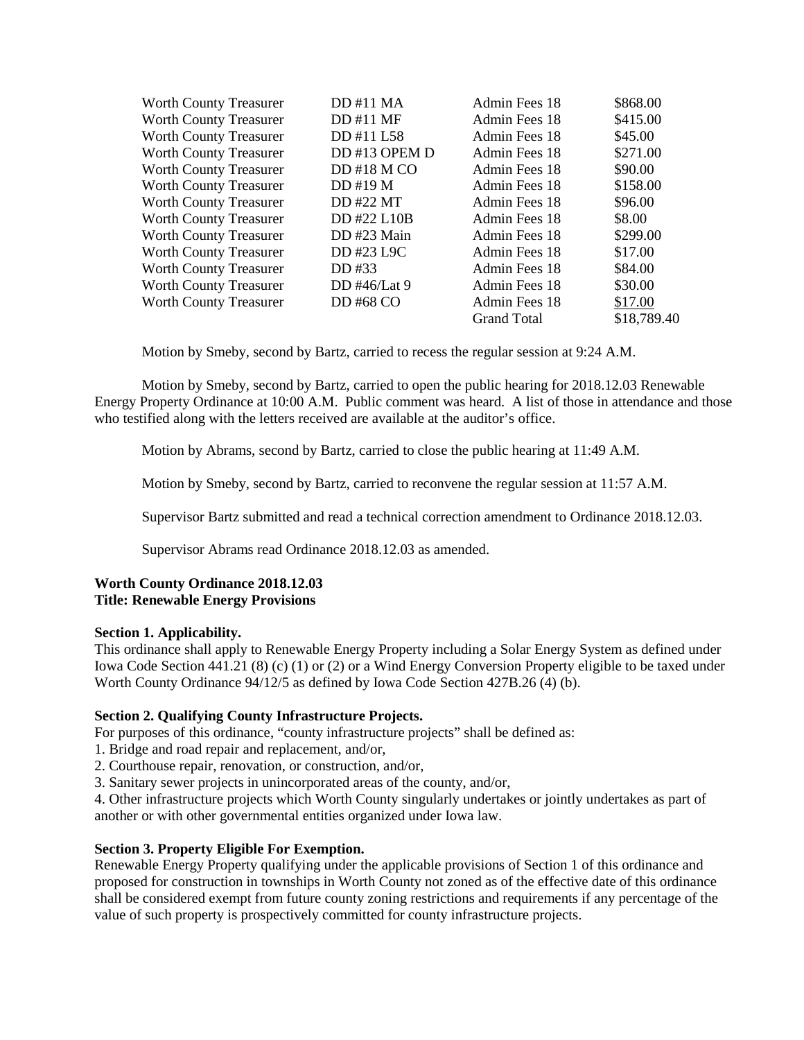| <b>Worth County Treasurer</b> | DD #11 MA    | Admin Fees 18      | \$868.00    |
|-------------------------------|--------------|--------------------|-------------|
| <b>Worth County Treasurer</b> | DD #11 MF    | Admin Fees 18      | \$415.00    |
| <b>Worth County Treasurer</b> | DD #11 L58   | Admin Fees 18      | \$45.00     |
| <b>Worth County Treasurer</b> | DD#13 OPEM D | Admin Fees 18      | \$271.00    |
| <b>Worth County Treasurer</b> | DD#18 M CO   | Admin Fees 18      | \$90.00     |
| <b>Worth County Treasurer</b> | $DD$ #19 M   | Admin Fees 18      | \$158.00    |
| Worth County Treasurer        | DD #22 MT    | Admin Fees 18      | \$96.00     |
| <b>Worth County Treasurer</b> | DD #22 L10B  | Admin Fees 18      | \$8.00      |
| <b>Worth County Treasurer</b> | DD#23 Main   | Admin Fees 18      | \$299.00    |
| Worth County Treasurer        | DD #23 L9C   | Admin Fees 18      | \$17.00     |
| <b>Worth County Treasurer</b> | DD #33       | Admin Fees 18      | \$84.00     |
| <b>Worth County Treasurer</b> | DD #46/Lat 9 | Admin Fees 18      | \$30.00     |
| <b>Worth County Treasurer</b> | DD #68 CO    | Admin Fees 18      | \$17.00     |
|                               |              | <b>Grand Total</b> | \$18,789.40 |

Motion by Smeby, second by Bartz, carried to recess the regular session at 9:24 A.M.

Motion by Smeby, second by Bartz, carried to open the public hearing for 2018.12.03 Renewable Energy Property Ordinance at 10:00 A.M. Public comment was heard. A list of those in attendance and those who testified along with the letters received are available at the auditor's office.

Motion by Abrams, second by Bartz, carried to close the public hearing at 11:49 A.M.

Motion by Smeby, second by Bartz, carried to reconvene the regular session at 11:57 A.M.

Supervisor Bartz submitted and read a technical correction amendment to Ordinance 2018.12.03.

Supervisor Abrams read Ordinance 2018.12.03 as amended.

# **Worth County Ordinance 2018.12.03 Title: Renewable Energy Provisions**

## **Section 1. Applicability.**

This ordinance shall apply to Renewable Energy Property including a Solar Energy System as defined under Iowa Code Section 441.21 (8) (c) (1) or (2) or a Wind Energy Conversion Property eligible to be taxed under Worth County Ordinance 94/12/5 as defined by Iowa Code Section 427B.26 (4) (b).

## **Section 2. Qualifying County Infrastructure Projects.**

For purposes of this ordinance, "county infrastructure projects" shall be defined as:

- 1. Bridge and road repair and replacement, and/or,
- 2. Courthouse repair, renovation, or construction, and/or,
- 3. Sanitary sewer projects in unincorporated areas of the county, and/or,

4. Other infrastructure projects which Worth County singularly undertakes or jointly undertakes as part of another or with other governmental entities organized under Iowa law.

## **Section 3. Property Eligible For Exemption.**

Renewable Energy Property qualifying under the applicable provisions of Section 1 of this ordinance and proposed for construction in townships in Worth County not zoned as of the effective date of this ordinance shall be considered exempt from future county zoning restrictions and requirements if any percentage of the value of such property is prospectively committed for county infrastructure projects.